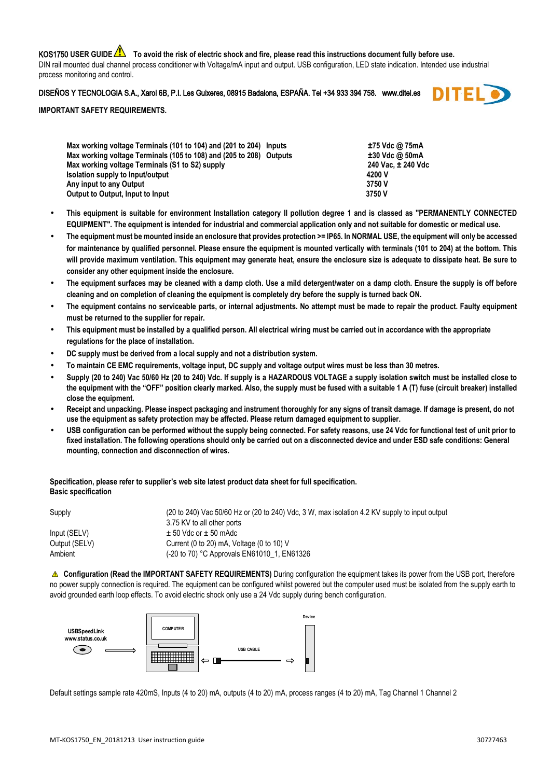KOS1750 USER GUIDE **ALCT** To avoid the risk of electric shock and fire, please read this instructions document fully before use. DIN rail mounted dual channel process conditioner with Voltage/mA input and output. USB configuration, LED state indication. Intended use industrial process monitoring and control.

## DISEÑOS Y TECNOLOGIA S.A., Xarol 6B, P.I. Les Guixeres, 08915 Badalona, ESPAÑA. Tel +34 933 394 758. www.ditel.es



## **IMPORTANT SAFETY REQUIREMENTS.**

| Max working voltage Terminals (101 to 104) and (201 to 204) Inputs  |  | ±75 Vdc @ 75mA     |
|---------------------------------------------------------------------|--|--------------------|
| Max working voltage Terminals (105 to 108) and (205 to 208) Outputs |  | $±30$ Vdc @ 50mA   |
| Max working voltage Terminals (S1 to S2) supply                     |  | 240 Vac. ± 240 Vdc |
| Isolation supply to Input/output                                    |  | 4200 V             |
| Any input to any Output                                             |  | 3750 V             |
| Output to Output, Input to Input                                    |  | 3750 V             |
|                                                                     |  |                    |

- **This equipment is suitable for environment Installation category II pollution degree 1 and is classed as "PERMANENTLY CONNECTED EQUIPMENT". The equipment is intended for industrial and commercial application only and not suitable for domestic or medical use.**
- **The equipment must be mounted inside an enclosure that provides protection >= IP65. In NORMAL USE, the equipment will only be accessed for maintenance by qualified personnel. Please ensure the equipment is mounted vertically with terminals (101 to 204) at the bottom. This will provide maximum ventilation. This equipment may generate heat, ensure the enclosure size is adequate to dissipate heat. Be sure to consider any other equipment inside the enclosure.**
- **The equipment surfaces may be cleaned with a damp cloth. Use a mild detergent/water on a damp cloth. Ensure the supply is off before cleaning and on completion of cleaning the equipment is completely dry before the supply is turned back ON.**
- **The equipment contains no serviceable parts, or internal adjustments. No attempt must be made to repair the product. Faulty equipment must be returned to the supplier for repair.**
- **This equipment must be installed by a qualified person. All electrical wiring must be carried out in accordance with the appropriate regulations for the place of installation.**
- **DC supply must be derived from a local supply and not a distribution system.**
- **To maintain CE EMC requirements, voltage input, DC supply and voltage output wires must be less than 30 metres.**
- **Supply (20 to 240) Vac 50/60 Hz (20 to 240) Vdc. If supply is a HAZARDOUS VOLTAGE a supply isolation switch must be installed close to the equipment with the "OFF" position clearly marked. Also, the supply must be fused with a suitable 1 A (T) fuse (circuit breaker) installed close the equipment.**
- **Receipt and unpacking. Please inspect packaging and instrument thoroughly for any signs of transit damage. If damage is present, do not use the equipment as safety protection may be affected. Please return damaged equipment to supplier.**
- **USB configuration can be performed without the supply being connected. For safety reasons, use 24 Vdc for functional test of unit prior to fixed installation. The following operations should only be carried out on a disconnected device and under ESD safe conditions: General mounting, connection and disconnection of wires.**

## **Specification, please refer to supplier's web site latest product data sheet for full specification. Basic specification**

| Supply        | (20 to 240) Vac 50/60 Hz or (20 to 240) Vdc, 3 W, max isolation 4.2 KV supply to input output |
|---------------|-----------------------------------------------------------------------------------------------|
|               | 3.75 KV to all other ports                                                                    |
| Input (SELV)  | $\pm$ 50 Vdc or $\pm$ 50 mAdc                                                                 |
| Output (SELV) | Current (0 to 20) mA, Voltage (0 to 10) V                                                     |
| Ambient       | (-20 to 70) °C Approvals EN61010 1, EN61326                                                   |

 **Configuration (Read the IMPORTANT SAFETY REQUIREMENTS)** During configuration the equipment takes its power from the USB port, therefore no power supply connection is required. The equipment can be configured whilst powered but the computer used must be isolated from the supply earth to avoid grounded earth loop effects. To avoid electric shock only use a 24 Vdc supply during bench configuration.



Default settings sample rate 420mS, Inputs (4 to 20) mA, outputs (4 to 20) mA, process ranges (4 to 20) mA, Tag Channel 1 Channel 2